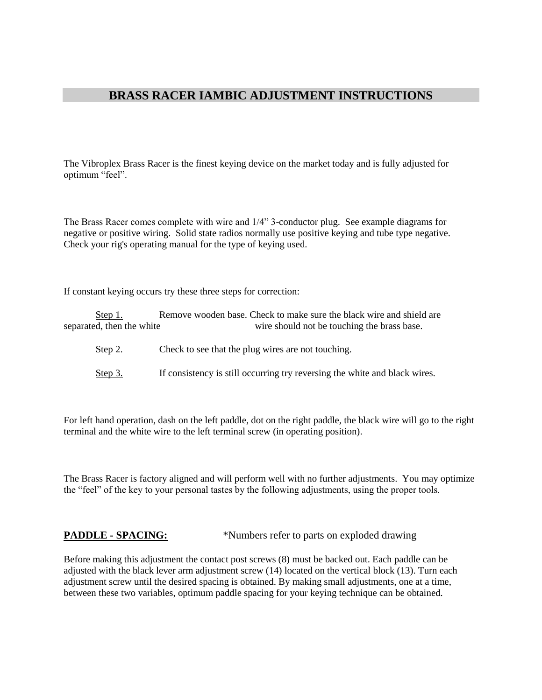## **BRASS RACER IAMBIC ADJUSTMENT INSTRUCTIONS**

The Vibroplex Brass Racer is the finest keying device on the market today and is fully adjusted for optimum "feel".

The Brass Racer comes complete with wire and 1/4" 3-conductor plug. See example diagrams for negative or positive wiring. Solid state radios normally use positive keying and tube type negative. Check your rig's operating manual for the type of keying used.

If constant keying occurs try these three steps for correction:

Step 1. Remove wooden base. Check to make sure the black wire and shield are separated, then the white wire should not be touching the brass base.

- Step 2. Check to see that the plug wires are not touching.
- Step 3. If consistency is still occurring try reversing the white and black wires.

For left hand operation, dash on the left paddle, dot on the right paddle, the black wire will go to the right terminal and the white wire to the left terminal screw (in operating position).

The Brass Racer is factory aligned and will perform well with no further adjustments. You may optimize the "feel" of the key to your personal tastes by the following adjustments, using the proper tools.

**PADDLE - SPACING:** \*Numbers refer to parts on exploded drawing

Before making this adjustment the contact post screws (8) must be backed out. Each paddle can be adjusted with the black lever arm adjustment screw (14) located on the vertical block (13). Turn each adjustment screw until the desired spacing is obtained. By making small adjustments, one at a time, between these two variables, optimum paddle spacing for your keying technique can be obtained.